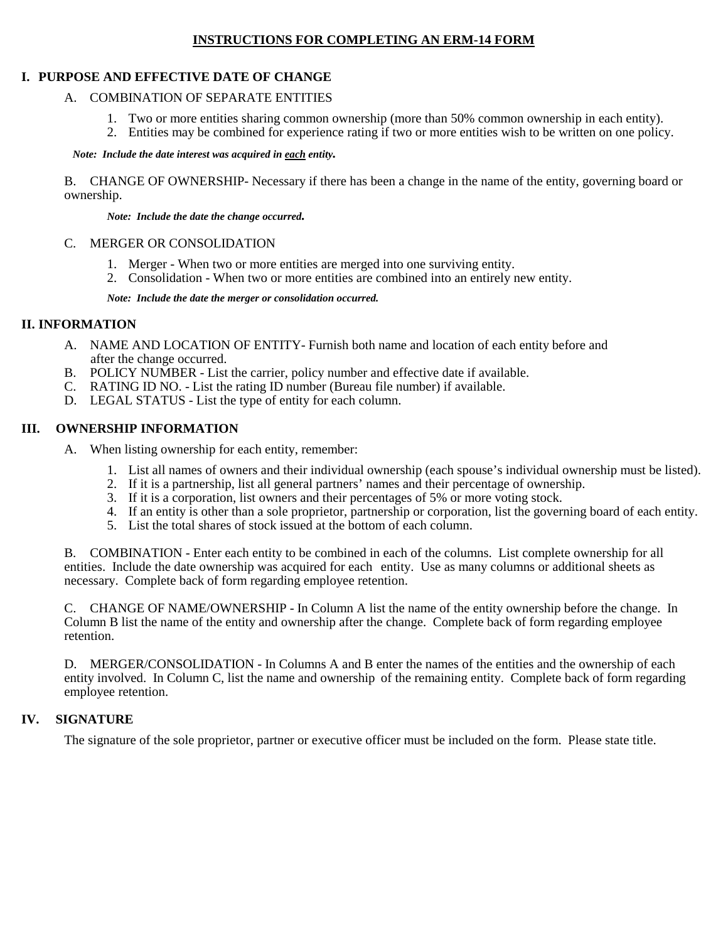## **INSTRUCTIONS FOR COMPLETING AN ERM-14 FORM**

### **I. PURPOSE AND EFFECTIVE DATE OF CHANGE**

### A. COMBINATION OF SEPARATE ENTITIES

- 1. Two or more entities sharing common ownership (more than 50% common ownership in each entity).
- 2. Entities may be combined for experience rating if two or more entities wish to be written on one policy.

*Note: Include the date interest was acquired in each entity.*

B. CHANGE OF OWNERSHIP- Necessary if there has been a change in the name of the entity, governing board or ownership.

*Note: Include the date the change occurred.*

#### C. MERGER OR CONSOLIDATION

- 1. Merger When two or more entities are merged into one surviving entity.
- 2. Consolidation When two or more entities are combined into an entirely new entity.

*Note: Include the date the merger or consolidation occurred.* 

## **II. INFORMATION**

- A. NAME AND LOCATION OF ENTITY- Furnish both name and location of each entity before and after the change occurred.
- B. POLICY NUMBER List the carrier, policy number and effective date if available.
- C. RATING ID NO. List the rating ID number (Bureau file number) if available.
- D. LEGAL STATUS List the type of entity for each column.

# **III. OWNERSHIP INFORMATION**

- A. When listing ownership for each entity, remember:
	- 1. List all names of owners and their individual ownership (each spouse's individual ownership must be listed).
	- 2. If it is a partnership, list all general partners' names and their percentage of ownership.
	- 3. If it is a corporation, list owners and their percentages of 5% or more voting stock.
	- 4. If an entity is other than a sole proprietor, partnership or corporation, list the governing board of each entity.
	- 5. List the total shares of stock issued at the bottom of each column.

B. COMBINATION - Enter each entity to be combined in each of the columns. List complete ownership for all entities. Include the date ownership was acquired for each entity. Use as many columns or additional sheets as necessary. Complete back of form regarding employee retention.

C. CHANGE OF NAME/OWNERSHIP - In Column A list the name of the entity ownership before the change. In Column B list the name of the entity and ownership after the change. Complete back of form regarding employee retention.

D. MERGER/CONSOLIDATION - In Columns A and B enter the names of the entities and the ownership of each entity involved. In Column C, list the name and ownership of the remaining entity. Complete back of form regarding employee retention.

## **IV. SIGNATURE**

The signature of the sole proprietor, partner or executive officer must be included on the form. Please state title.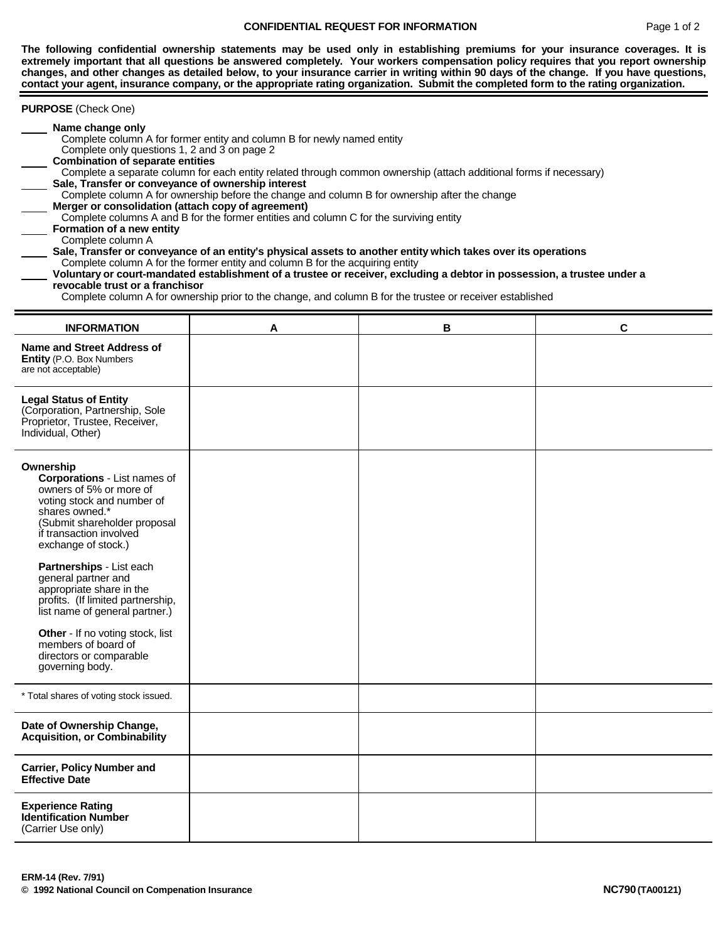#### **CONFIDENTIAL REQUEST FOR INFORMATION** Page 1 of 2

**The following confidential ownership statements may be used only in establishing premiums for your insurance coverages. It is extremely important that all questions be answered completely. Your workers compensation policy requires that you report ownership changes, and other changes as detailed below, to your insurance carrier in writing within 90 days of the change. If you have questions, contact your agent, insurance company, or the appropriate rating organization. Submit the completed form to the rating organization.** 

| <b>PURPOSE</b> (Check One)                                                                                                                                                                                                                                                                                                                                                                                                                                                                                                                                                                                                                                                                                                                                                                                                                                                                                                                                                                                                                                                                                                                         |   |   |   |  |  |
|----------------------------------------------------------------------------------------------------------------------------------------------------------------------------------------------------------------------------------------------------------------------------------------------------------------------------------------------------------------------------------------------------------------------------------------------------------------------------------------------------------------------------------------------------------------------------------------------------------------------------------------------------------------------------------------------------------------------------------------------------------------------------------------------------------------------------------------------------------------------------------------------------------------------------------------------------------------------------------------------------------------------------------------------------------------------------------------------------------------------------------------------------|---|---|---|--|--|
| Name change only<br>Complete column A for former entity and column B for newly named entity<br>Complete only questions 1, 2 and 3 on page 2<br><b>Combination of separate entities</b><br>Complete a separate column for each entity related through common ownership (attach additional forms if necessary)<br>Sale, Transfer or conveyance of ownership interest<br>Complete column A for ownership before the change and column B for ownership after the change<br>Merger or consolidation (attach copy of agreement)<br>Complete columns A and B for the former entities and column C for the surviving entity<br>Formation of a new entity<br>Complete column A<br>Sale, Transfer or conveyance of an entity's physical assets to another entity which takes over its operations<br>Complete column A for the former entity and column B for the acquiring entity<br>Voluntary or court-mandated establishment of a trustee or receiver, excluding a debtor in possession, a trustee under a<br>revocable trust or a franchisor<br>Complete column A for ownership prior to the change, and column B for the trustee or receiver established |   |   |   |  |  |
| <b>INFORMATION</b>                                                                                                                                                                                                                                                                                                                                                                                                                                                                                                                                                                                                                                                                                                                                                                                                                                                                                                                                                                                                                                                                                                                                 | A | в | C |  |  |
| Name and Street Address of<br>Entity (P.O. Box Numbers<br>are not acceptable)                                                                                                                                                                                                                                                                                                                                                                                                                                                                                                                                                                                                                                                                                                                                                                                                                                                                                                                                                                                                                                                                      |   |   |   |  |  |
| <b>Legal Status of Entity</b><br>(Corporation, Partnership, Sole<br>Proprietor, Trustee, Receiver,<br>Individual, Other)                                                                                                                                                                                                                                                                                                                                                                                                                                                                                                                                                                                                                                                                                                                                                                                                                                                                                                                                                                                                                           |   |   |   |  |  |
| Ownership<br><b>Corporations - List names of</b><br>owners of 5% or more of<br>voting stock and number of<br>shares owned.*<br>(Submit shareholder proposal<br>if transaction involved<br>exchange of stock.)                                                                                                                                                                                                                                                                                                                                                                                                                                                                                                                                                                                                                                                                                                                                                                                                                                                                                                                                      |   |   |   |  |  |
| Partnerships - List each<br>general partner and<br>appropriate share in the<br>profits. (If limited partnership,<br>list name of general partner.)                                                                                                                                                                                                                                                                                                                                                                                                                                                                                                                                                                                                                                                                                                                                                                                                                                                                                                                                                                                                 |   |   |   |  |  |
| Other - If no voting stock, list<br>members of board of<br>directors or comparable<br>governing body.                                                                                                                                                                                                                                                                                                                                                                                                                                                                                                                                                                                                                                                                                                                                                                                                                                                                                                                                                                                                                                              |   |   |   |  |  |
| * Total shares of voting stock issued.                                                                                                                                                                                                                                                                                                                                                                                                                                                                                                                                                                                                                                                                                                                                                                                                                                                                                                                                                                                                                                                                                                             |   |   |   |  |  |
| Date of Ownership Change,<br><b>Acquisition, or Combinability</b>                                                                                                                                                                                                                                                                                                                                                                                                                                                                                                                                                                                                                                                                                                                                                                                                                                                                                                                                                                                                                                                                                  |   |   |   |  |  |
| <b>Carrier, Policy Number and</b><br><b>Effective Date</b>                                                                                                                                                                                                                                                                                                                                                                                                                                                                                                                                                                                                                                                                                                                                                                                                                                                                                                                                                                                                                                                                                         |   |   |   |  |  |
| <b>Experience Rating</b><br><b>Identification Number</b><br>(Carrier Use only)                                                                                                                                                                                                                                                                                                                                                                                                                                                                                                                                                                                                                                                                                                                                                                                                                                                                                                                                                                                                                                                                     |   |   |   |  |  |